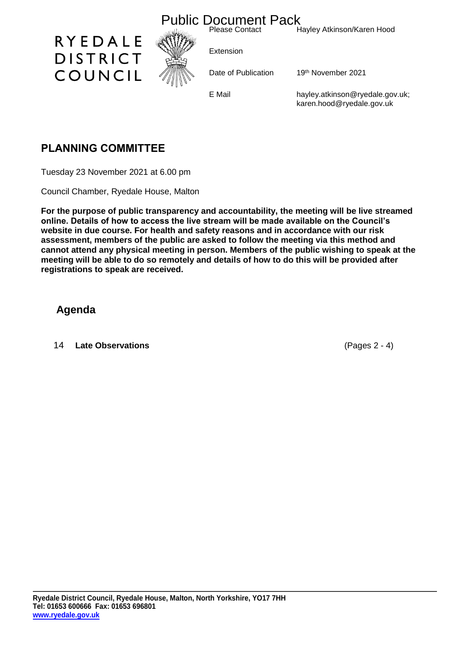

## **PLANNING COMMITTEE**

Tuesday 23 November 2021 at 6.00 pm

Council Chamber, Ryedale House, Malton

**For the purpose of public transparency and accountability, the meeting will be live streamed online. Details of how to access the live stream will be made available on the Council's website in due course. For health and safety reasons and in accordance with our risk assessment, members of the public are asked to follow the meeting via this method and cannot attend any physical meeting in person. Members of the public wishing to speak at the meeting will be able to do so remotely and details of how to do this will be provided after registrations to speak are received.**

## **Agenda**

14 **Late Observations** (Pages 2 - 4)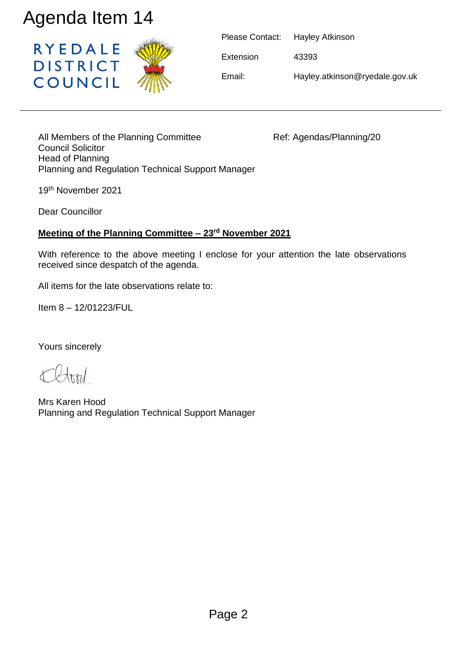

| Please Contact: | Hayley Atkinson                |
|-----------------|--------------------------------|
| Extension       | 43393                          |
| Email:          | Hayley.atkinson@ryedale.gov.uk |

All Members of the Planning Committee Ref: Agendas/Planning/20 Council Solicitor Head of Planning Planning and Regulation Technical Support Manager Agenda Item 14<br>
RYEDALE<br>
DISTRICT<br>
COUNCIL<br>
All Members of the Planning Committee<br>
Head of Planning<br>
Planning and Regulation Technical Support Manag<br>
19<sup>th</sup> November 2021<br>
Dear Councillor<br> **Meeting of the Planning Committe** 

19th November 2021

Dear Councillor

## **Meeting of the Planning Committee – 23rd November 2021**

With reference to the above meeting I enclose for your attention the late observations received since despatch of the agenda.

All items for the late observations relate to:

Item 8 – 12/01223/FUL

Yours sincerely

Mrs Karen Hood Planning and Regulation Technical Support Manager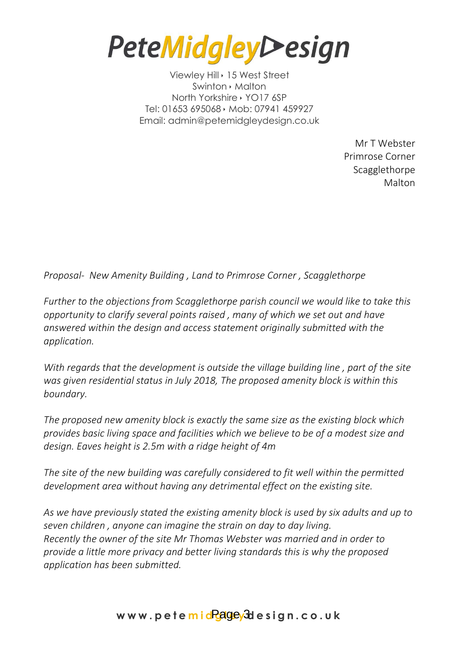**PeteMidgleyDesign** 

Viewley Hill · 15 West Street Swinton **Malton** North Yorkshire > YO17 6SP Tel: 01653 695068 Mob: 07941 459927 Email: admin@petemidgleydesign.co.uk

> Mr T Webster Primrose Corner Scagglethorpe Malton

*Proposal- New Amenity Building , Land to Primrose Corner , Scagglethorpe* 

*Further to the objections from Scagglethorpe parish council we would like to take this opportunity to clarify several points raised , many of which we set out and have answered within the design and access statement originally submitted with the application.*

*With regards that the development is outside the village building line , part of the site was given residential status in July 2018, The proposed amenity block is within this boundary.*

*The proposed new amenity block is exactly the same size as the existing block which provides basic living space and facilities which we believe to be of a modest size and design. Eaves height is 2.5m with a ridge height of 4m*

*The site of the new building was carefully considered to fit well within the permitted development area without having any detrimental effect on the existing site.* 

*As we have previously stated the existing amenity block is used by six adults and up to seven children , anyone can imagine the strain on day to day living. Recently the owner of the site Mr Thomas Webster was married and in order to provide a little more privacy and better living standards this is why the proposed application has been submitted.*